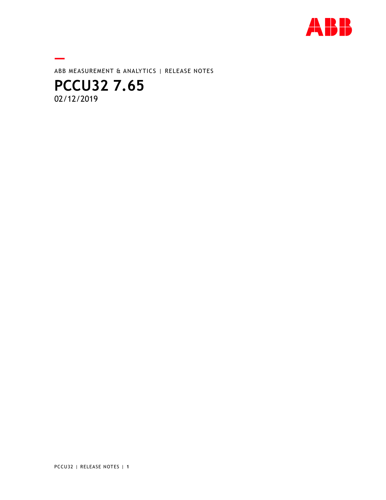

**—** ABB MEASUREMENT & ANALYTICS | RELEASE NOTES

# **PCCU32 7.65**  02/12/2019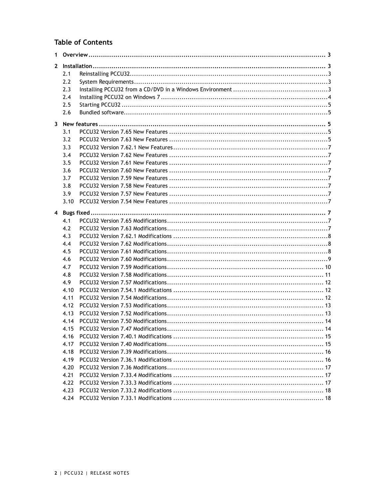# **Table of Contents**

| 1. |            |  |  |
|----|------------|--|--|
|    |            |  |  |
|    | 2.1        |  |  |
|    | 2.2        |  |  |
|    | 2.3        |  |  |
|    | 2.4        |  |  |
|    | 2.5        |  |  |
|    | 2.6        |  |  |
|    |            |  |  |
|    | 3.1        |  |  |
|    | 3.2        |  |  |
|    | 3.3        |  |  |
|    | 3.4        |  |  |
|    | 3.5        |  |  |
|    | 3.6        |  |  |
|    | 3.7        |  |  |
|    | 3.8        |  |  |
|    | 3.9        |  |  |
|    | 3.10       |  |  |
|    |            |  |  |
|    |            |  |  |
|    | 4.1<br>4.2 |  |  |
|    |            |  |  |
|    | 4.3        |  |  |
|    | 4.4<br>4.5 |  |  |
|    |            |  |  |
|    | 4.6<br>4.7 |  |  |
|    | 4.8        |  |  |
|    | 4.9        |  |  |
|    | 4.10       |  |  |
|    | 4.11       |  |  |
|    | 4.12       |  |  |
|    | 4.13       |  |  |
|    | 4.14       |  |  |
|    | 4.15       |  |  |
|    | 4.16       |  |  |
|    | 4.17       |  |  |
|    | 4.18       |  |  |
|    | 4.19       |  |  |
|    | 4.20       |  |  |
|    | 4.21       |  |  |
|    | 4.22       |  |  |
|    | 4.23       |  |  |
|    |            |  |  |
|    |            |  |  |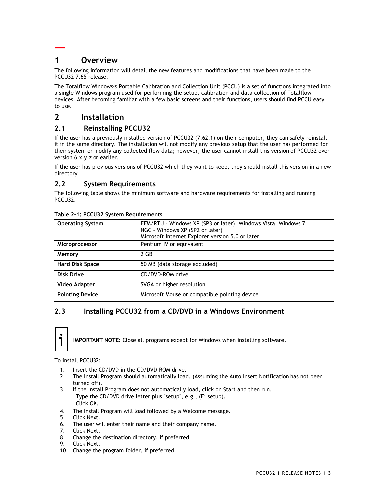# **— 1 Overview**

The following information will detail the new features and modifications that have been made to the PCCU32 7.65 release.

The Totalflow Windows® Portable Calibration and Collection Unit (PCCU) is a set of functions integrated into a single Windows program used for performing the setup, calibration and data collection of Totalflow devices. After becoming familiar with a few basic screens and their functions, users should find PCCU easy to use.

# **2 Installation**

## **2.1 Reinstalling PCCU32**

If the user has a previously installed version of PCCU32 (7.62.1) on their computer, they can safely reinstall it in the same directory. The installation will not modify any previous setup that the user has performed for their system or modify any collected flow data; however, the user cannot install this version of PCCU32 over version 6.x.y.z or earlier.

If the user has previous versions of PCCU32 which they want to keep, they should install this version in a new directory

## **2.2 System Requirements**

The following table shows the minimum software and hardware requirements for installing and running PCCU32.

| <b>Operating System</b> | EFM/RTU - Windows XP (SP3 or later), Windows Vista, Windows 7<br>NGC - Windows XP (SP2 or later)<br>Microsoft Internet Explorer version 5.0 or later |
|-------------------------|------------------------------------------------------------------------------------------------------------------------------------------------------|
|                         |                                                                                                                                                      |
| Microprocessor          | Pentium IV or equivalent                                                                                                                             |
| Memory                  | 2 GB                                                                                                                                                 |
| <b>Hard Disk Space</b>  | 50 MB (data storage excluded)                                                                                                                        |
| Disk Drive              | CD/DVD-ROM drive                                                                                                                                     |
| Video Adapter           | SVGA or higher resolution                                                                                                                            |
| <b>Pointing Device</b>  | Microsoft Mouse or compatible pointing device                                                                                                        |

#### **Table 2-1: PCCU32 System Requirements**

## **2.3 Installing PCCU32 from a CD/DVD in a Windows Environment**



**IMPORTANT NOTE:** Close all programs except for Windows when installing software.

To install PCCU32:

- 1. Insert the CD/DVD in the CD/DVD-ROM drive.
- 2. The Install Program should automatically load. (Assuming the Auto Insert Notification has not been turned off).
- 3. If the Install Program does not automatically load, click on Start and then run.
- Type the CD/DVD drive letter plus "setup", e.g., (E: setup).
- $-$  Click OK.
- 4. The Install Program will load followed by a Welcome message.
- 5. Click Next.
- 6. The user will enter their name and their company name.<br>7. Click Next.
- Click Next.
- 8. Change the destination directory, if preferred.<br>9. Click Next.
- 9. Click Next.
- 10. Change the program folder, if preferred.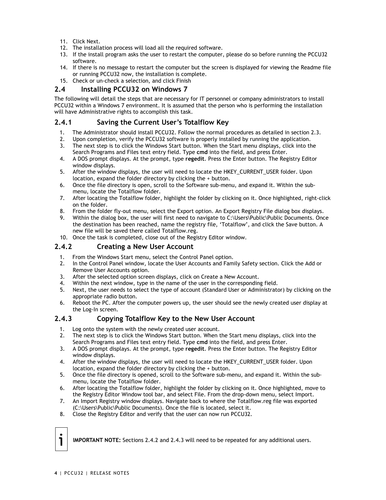- 11. Click Next.
- 12. The installation process will load all the required software.
- 13. If the install program asks the user to restart the computer, please do so before running the PCCU32 software.
- 14. If there is no message to restart the computer but the screen is displayed for viewing the Readme file or running PCCU32 now, the installation is complete.
- 15. Check or un-check a selection, and click Finish

## **2.4 Installing PCCU32 on Windows 7**

The following will detail the steps that are necessary for IT personnel or company administrators to install PCCU32 within a Windows 7 environment. It is assumed that the person who is performing the installation will have Administrative rights to accomplish this task.

## **2.4.1 Saving the Current User's Totalflow Key**

- 1. The Administrator should install PCCU32. Follow the normal procedures as detailed in section 2.3.
- 2. Upon completion, verify the PCCU32 software is properly installed by running the application. 3. The next step is to click the Windows Start button. When the Start menu displays, click into the
- Search Programs and Files text entry field. Type **cmd** into the field, and press Enter.
- 4. A DOS prompt displays. At the prompt, type **regedit**. Press the Enter button. The Registry Editor window displays.
- 5. After the window displays, the user will need to locate the HKEY\_CURRENT\_USER folder. Upon location, expand the folder directory by clicking the + button.
- 6. Once the file directory is open, scroll to the Software sub-menu, and expand it. Within the submenu, locate the Totalflow folder.
- 7. After locating the Totalflow folder, highlight the folder by clicking on it. Once highlighted, right-click on the folder.
- 8. From the folder fly-out menu, select the Export option. An Export Registry File dialog box displays.
- 9. Within the dialog box, the user will first need to navigate to C:\Users\Public\Public Documents. Once the destination has been reached, name the registry file, 'Totalflow', and click the Save button. A new file will be saved there called Totalflow.reg.
- 10. Once the task is completed, close out of the Registry Editor window.

## **2.4.2 Creating a New User Account**

- 1. From the Windows Start menu, select the Control Panel option.
- 2. In the Control Panel window, locate the User Accounts and Family Safety section. Click the Add or Remove User Accounts option.
- 3. After the selected option screen displays, click on Create a New Account.
- 4. Within the next window, type in the name of the user in the corresponding field.
- 5. Next, the user needs to select the type of account (Standard User or Administrator) by clicking on the appropriate radio button.
- 6. Reboot the PC. After the computer powers up, the user should see the newly created user display at the Log-In screen.

## **2.4.3 Copy**i**ng Totalflow Key to the New User Account**

- 1. Log onto the system with the newly created user account.
- 2. The next step is to click the Windows Start button. When the Start menu displays, click into the Search Programs and Files text entry field. Type **cmd** into the field, and press Enter.
- 3. A DOS prompt displays. At the prompt, type **regedit**. Press the Enter button. The Registry Editor window displays.
- 4. After the window displays, the user will need to locate the HKEY\_CURRENT\_USER folder. Upon location, expand the folder directory by clicking the + button.
- 5. Once the file directory is opened, scroll to the Software sub-menu, and expand it. Within the submenu, locate the Totalflow folder.
- 6. After locating the Totalflow folder, highlight the folder by clicking on it. Once highlighted, move to the Registry Editor Window tool bar, and select File. From the drop-down menu, select Import.
- 7. An Import Registry window displays. Navigate back to where the Totalflow.reg file was exported (C:\Users\Public\Public Documents). Once the file is located, select it.
- 8. Close the Registry Editor and verify that the user can now run PCCU32.

**IMPORTANT NOTE:** Sections 2.4.2 and 2.4.3 will need to be repeated for any additional users.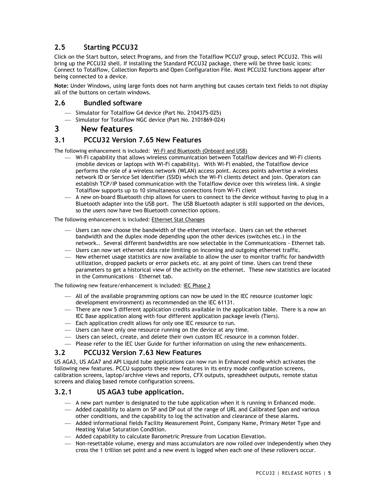# **2.5 Starting PCCU32**

Click on the Start button, select Programs, and from the Totalflow PCCU7 group, select PCCU32. This will bring up the PCCU32 shell. If installing the Standard PCCU32 package, there will be three basic icons: Connect to Totalflow, Collection Reports and Open Configuration File. Most PCCU32 functions appear after being connected to a device.

**Note:** Under Windows, using large fonts does not harm anything but causes certain text fields to not display all of the buttons on certain windows.

## **2.6 Bundled software**

- Simulator for Totalflow G4 device (Part No. 2104375-025)
- Simulator for Totalflow NGC device (Part No. 2101869-024)

## **3 New features**

## **3.1 PCCU32 Version 7.65 New Features**

The following enhancement is included: Wi-Fi and Bluetooth (Onboard and USB)

- Wi-Fi capability that allows wireless communication between Totalflow devices and Wi-Fi clients (mobile devices or laptops with Wi-Fi capability). With Wi-Fi enabled, the Totalflow device performs the role of a wireless network (WLAN) access point. Access points advertise a wireless network ID or Service Set Identifier (SSID) which the Wi-Fi clients detect and join. Operators can establish TCP/IP based communication with the Totalflow device over this wireless link. A single Totalflow supports up to 10 simultaneous connections from Wi-Fi client
- A new on-board Bluetooth chip allows for users to connect to the device without having to plug in a Bluetooth adapter into the USB port. The USB Bluetooth adapter is still supported on the devices, so the users now have two Bluetooth connection options.

#### The following enhancement is included: Ethernet Stat Changes

- Users can now choose the bandwidth of the ethernet interface. Users can set the ethernet bandwidth and the duplex mode depending upon the other devices (switches etc.) in the network.. Several different bandwidths are now selectable in the Communications - Ethernet tab.
- Users can now set ethernet data rate limiting on incoming and outgoing ethernet traffic.
- New ethernet usage statistics are now available to allow the user to monitor traffic for bandwidth utilization, dropped packets or error packets etc. at any point of time. Users can trend these parameters to get a historical view of the activity on the ethernet. These new statistics are located in the Communications – Ethernet tab.

The following new feature/enhancement is included: IEC Phase 2

- All of the available programming options can now be used in the IEC resource (customer logic development environment) as recommended on the IEC 61131.
- There are now 5 different application credits available in the application table. There is a now an IEC Base application along with four different application package levels (Tiers).
- Each application credit allows for only one IEC resource to run.
- Users can have only one resource running on the device at any time.
- Users can select, create, and delete their own custom IEC resource in a common folder.
- Please refer to the IEC User Guide for further information on using the new enhancements.

#### **3.2 PCCU32 Version 7.63 New Features**

US AGA3, US AGA7 and API Liquid tube applications can now run in Enhanced mode which activates the following new features. PCCU supports these new features in its entry mode configuration screens, calibration screens, laptop/archive views and reports, CFX outputs, spreadsheet outputs, remote status screens and dialog based remote configuration screens.

## **3.2.1 US AGA3 tube application.**

- A new part number is designated to the tube application when it is running in Enhanced mode.
- Added capability to alarm on SP and DP out of the range of URL and Calibrated Span and various other conditions, and the capability to log the activation and clearance of these alarms.
- Added informational fields Facility Measurement Point, Company Name, Primary Meter Type and Heating Value Saturation Condition.
- Added capability to calculate Barometric Pressure from Location Elevation.
- Non-resettable volume, energy and mass accumulators are now rolled over independently when they cross the 1 trillion set point and a new event is logged when each one of these rollovers occur.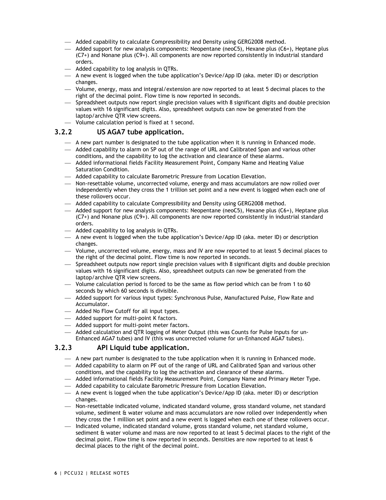- Added capability to calculate Compressibility and Density using GERG2008 method.
- $-$  Added support for new analysis components: Neopentane (neoC5), Hexane plus (C6+), Heptane plus (C7+) and Nonane plus (C9+). All components are now reported consistently in industrial standard orders.
- $-$  Added capability to log analysis in QTRs.
- A new event is logged when the tube application's Device/App ID (aka. meter ID) or description changes.
- Volume, energy, mass and integral/extension are now reported to at least 5 decimal places to the right of the decimal point. Flow time is now reported in seconds.
- Spreadsheet outputs now report single precision values with 8 significant digits and double precision values with 16 significant digits. Also, spreadsheet outputs can now be generated from the laptop/archive QTR view screens.
- Volume calculation period is fixed at 1 second.

## **3.2.2 US AGA7 tube application.**

- A new part number is designated to the tube application when it is running in Enhanced mode.
- Added capability to alarm on SP out of the range of URL and Calibrated Span and various other conditions, and the capability to log the activation and clearance of these alarms.
- Added informational fields Facility Measurement Point, Company Name and Heating Value Saturation Condition.
- Added capability to calculate Barometric Pressure from Location Elevation.
- Non-resettable volume, uncorrected volume, energy and mass accumulators are now rolled over independently when they cross the 1 trillion set point and a new event is logged when each one of these rollovers occur.
- Added capability to calculate Compressibility and Density using GERG2008 method.
- $-$  Added support for new analysis components: Neopentane (neoC5), Hexane plus (C6+), Heptane plus (C7+) and Nonane plus (C9+). All components are now reported consistently in industrial standard orders.
- Added capability to log analysis in QTRs.
- A new event is logged when the tube application's Device/App ID (aka. meter ID) or description changes.
- Volume, uncorrected volume, energy, mass and IV are now reported to at least 5 decimal places to the right of the decimal point. Flow time is now reported in seconds.
- Spreadsheet outputs now report single precision values with 8 significant digits and double precision values with 16 significant digits. Also, spreadsheet outputs can now be generated from the laptop/archive QTR view screens.
- Volume calculation period is forced to be the same as flow period which can be from 1 to 60 seconds by which 60 seconds is divisible.
- Added support for various input types: Synchronous Pulse, Manufactured Pulse, Flow Rate and Accumulator.
- $-$  Added No Flow Cutoff for all input types.
- Added support for multi-point K factors.
- Added support for multi-point meter factors.
- Added calculation and QTR logging of Meter Output (this was Counts for Pulse Inputs for un-Enhanced AGA7 tubes) and IV (this was uncorrected volume for un-Enhanced AGA7 tubes).

## **3.2.3 API Liquid tube application.**

- A new part number is designated to the tube application when it is running in Enhanced mode.
- Added capability to alarm on PF out of the range of URL and Calibrated Span and various other conditions, and the capability to log the activation and clearance of these alarms.
- Added informational fields Facility Measurement Point, Company Name and Primary Meter Type.
- Added capability to calculate Barometric Pressure from Location Elevation.
- $-$  A new event is logged when the tube application's Device/App ID (aka. meter ID) or description changes.
- Non-resettable indicated volume, indicated standard volume, gross standard volume, net standard volume, sediment & water volume and mass accumulators are now rolled over independently when they cross the 1 million set point and a new event is logged when each one of these rollovers occur.
- Indicated volume, indicated standard volume, gross standard volume, net standard volume, sediment & water volume and mass are now reported to at least 5 decimal places to the right of the decimal point. Flow time is now reported in seconds. Densities are now reported to at least 6 decimal places to the right of the decimal point.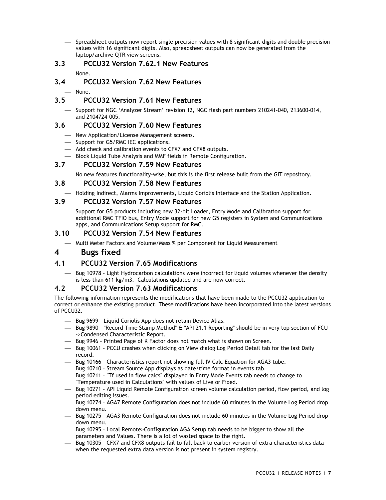Spreadsheet outputs now report single precision values with 8 significant digits and double precision values with 16 significant digits. Also, spreadsheet outputs can now be generated from the laptop/archive QTR view screens.

## **3.3 PCCU32 Version 7.62.1 New Features**

- None.

## **3.4 PCCU32 Version 7.62 New Features**

None.

## **3.5 PCCU32 Version 7.61 New Features**

 Support for NGC 'Analyzer Stream' revision 12, NGC flash part numbers 210241-040, 213600-014, and 2104724-005.

## **3.6 PCCU32 Version 7.60 New Features**

- New Application/License Management screens.
	- Support for G5/RMC IEC applications.
	- Add check and calibration events to CFX7 and CFX8 outputs.
	- Block Liquid Tube Analysis and MMF fields in Remote Configuration.

## **3.7 PCCU32 Version 7.59 New Features**

No new features functionality-wise, but this is the first release built from the GIT repository.

## **3.8 PCCU32 Version 7.58 New Features**

 $-$  Holding Indirect, Alarms Improvements, Liquid Coriolis Interface and the Station Application.

## **3.9 PCCU32 Version 7.57 New Features**

 Support for G5 products including new 32-bit Loader, Entry Mode and Calibration support for additional RMC TFIO bus, Entry Mode support for new G5 registers in System and Communications apps, and Communications Setup support for RMC.

## **3.10 PCCU32 Version 7.54 New Features**

 $-$  Multi Meter Factors and Volume/Mass % per Component for Liquid Measurement

## **4 Bugs fixed**

## **4.1 PCCU32 Version 7.65 Modifications**

 $-$  Bug 10978 - Light Hydrocarbon calculations were incorrect for liquid volumes whenever the density is less than 611 kg/m3. Calculations updated and are now correct.

#### **4.2 PCCU32 Version 7.63 Modifications**

- $-$  Bug 9699 Liquid Coriolis App does not retain Device Alias.
- $-$  Bug 9890 "Record Time Stamp Method" & "API 21.1 Reporting" should be in very top section of FCU ->Condensed Characteristic Report.
- Bug 9946 Printed Page of K Factor does not match what is shown on Screen.
- Bug 10061 PCCU crashes when clicking on View dialog Log Period Detail tab for the last Daily record.
- Bug 10166 Characteristics report not showing full IV Calc Equation for AGA3 tube.
- Bug 10210 Stream Source App displays as date/time format in events tab.
- Bug 10211 "Tf used in flow calcs" displayed in Entry Mode Events tab needs to change to "Temperature used in Calculations" with values of Live or Fixed.
- $-$  Bug 10271 API Liquid Remote Configuration screen volume calculation period, flow period, and log period editing issues.
- $-$  Bug 10274 AGA7 Remote Configuration does not include 60 minutes in the Volume Log Period drop down menu.
- $-$  Bug 10275 AGA3 Remote Configuration does not include 60 minutes in the Volume Log Period drop down menu.
- $-$  Bug 10295 Local Remote>Configuration AGA Setup tab needs to be bigger to show all the parameters and Values. There is a lot of wasted space to the right.
- Bug 10305 CFX7 and CFX8 outputs fail to fall back to earlier version of extra characteristics data when the requested extra data version is not present in system registry.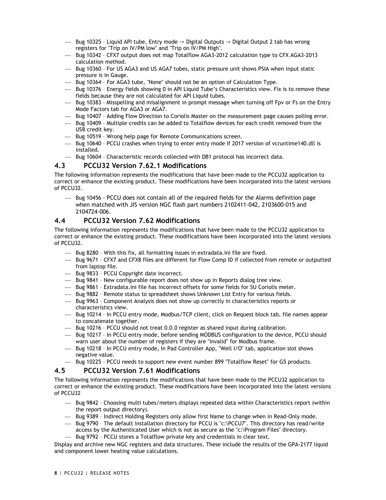- Bug 10325 Liquid API tube, Entry mode -> Digital Outputs -> Digital Output 2 tab has wrong registers for "Trip on IV/PM low" and "Trip on IV/PM High".
- Bug 10342 CFX7 output does not map Totalflow AGA3-2012 calculation type to CFX AGA3-2013 calculation method.
- Bug 10360 For US AGA3 and US AGA7 tubes, static pressure unit shows PSIA when input static pressure is in Gauge.
- Bug 10364 For AGA3 tube, "None" should not be an option of Calculation Type.
- Bug 10376 Energy fields showing 0 in API Liquid Tube's Characteristics view. Fix is to remove these fields because they are not calculated for API Liquid tubes.
- $-$  Bug 10383 Misspelling and misalignment in prompt message when turning off Fpv or Fs on the Entry Mode Factors tab for AGA3 or AGA7.
- $-$  Bug 10407 Adding Flow Direction to Coriolis Master on the measurement page causes polling error.
- $-$  Bug 10409 Multiple credits can be added to Totalflow devices for each credit removed from the USB credit key.
- $-$  Bug 10519 Wrong help page for Remote Communications screen.
- Bug 10640 PCCU crashes when trying to enter entry mode if 2017 version of vcruntime140.dll is installed.
- $-$  Bug 10604 Characteristic records collected with DB1 protocol has incorrect data.

#### **4.3 PCCU32 Version 7.62.1 Modifications**

The following information represents the modifications that have been made to the PCCU32 application to correct or enhance the existing product. These modifications have been incorporated into the latest versions of PCCU32.

 Bug 10456 - PCCU does not contain all of the required fields for the Alarms definition page when matched with JIS version NGC flash part numbers 2102411-042, 2103600-015 and 2104724-006.

## **4.4 PCCU32 Version 7.62 Modifications**

The following information represents the modifications that have been made to the PCCU32 application to correct or enhance the existing product. These modifications have been incorporated into the latest versions of PCCU32.

- $-$  Bug 8280 With this fix, all formatting issues in extradata.ini file are fixed.
- $-$  Bug 9671 CFX7 and CFX8 files are different for Flow Comp ID if collected from remote or outputted from laptop file.
- $-$  Bug 9833 PCCU Copyright date incorrect.
- $-$  Bug 9841 New configurable report does not show up in Reports dialog tree view.
- Bug 9861 Extradata.ini file has incorrect offsets for some fields for SU Coriolis meter.
- Bug 9882 Remote status to spreadsheet shows Unknown List Entry for various fields.
- Bug 9963 Component Analysis does not show up correctly in characteristics reports or characteristics view.
- Bug 10214 In PCCU entry mode, Modbus/TCP client, click on Request block tab, file names appear to concatenate together.
- Bug 10216 PCCU should not treat 0.0.0 register as shared input during calibration.
- Bug 10217 In PCCU entry mode, before sending MODBUS configuration to the device, PCCU should warn user about the number of registers if they are "invalid" for Modbus frame.
- Bug 10218 In PCCU entry mode, In Pad Controller App, "Well I/O" tab, application slot shows negative value.
- Bug 10225 PCCU needs to support new event number 899 "Totalflow Reset" for G5 products.

#### **4.5 PCCU32 Version 7.61 Modifications**

The following information represents the modifications that have been made to the PCCU32 application to correct or enhance the existing product. These modifications have been incorporated into the latest versions of PCCU32

- $-$  Bug 9842 Choosing multi tubes/meters displays repeated data within Characteristics report (within the report output directory).
- Bug 9389 Indirect Holding Registers only allow first Name to change when in Read-Only mode.
- Bug 9790 The default installation directory for PCCU is "c:\PCCU7". This directory has read/write access by the Authenticated User which is not as secure as the "c:\Program Files" directory.
- Bug 9792 PCCU stores a Totalflow private key and credentials in clear text.

Display and archive new NGC registers and data structures. These include the results of the GPA-2177 liquid and component lower heating value calculations.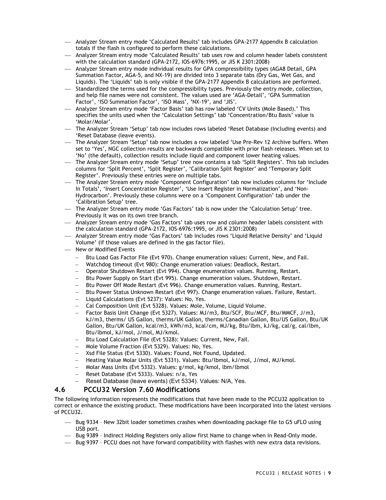- Analyzer Stream entry mode 'Calculated Results' tab includes GPA-2177 Appendix B calculation totals if the flash is configured to perform these calculations.
- Analyzer Stream entry mode 'Calculated Results' tab uses row and column header labels consistent with the calculation standard (GPA-2172, IOS-6976:1995, or JIS K 2301:2008)
- Analyzer Stream entry mode individual results for GPA compressibility types (AGA8 Detail, GPA Summation Factor, AGA-5, and NX-19) are divided into 3 separate tabs (Dry Gas, Wet Gas, and Liquids). The 'Liquids' tab is only visible if the GPA-2177 Appendix B calculations are performed.
- $-$  Standardized the terms used for the compressibility types. Previously the entry mode, collection, and help file names were not consistent. The values used are 'AGA-Detail', 'GPA Summation Factor', 'ISO Summation Factor', 'ISO Mass', 'NX-19', and 'JIS'.
- Analyzer Stream entry mode 'Factor Basis' tab has row labeled 'CV Units (Mole Based).' This specifies the units used when the 'Calculation Settings' tab 'Concentration/Btu Basis' value is 'Molar/Molar'.
- The Analyzer Stream 'Setup' tab now includes rows labeled 'Reset Database (Including events) and 'Reset Database (leave events).
- The Analyzer Stream 'Setup' tab now includes a row labeled 'Use Pre-Rev 12 Archive buffers. When set to 'Yes', NGC collection results are backwards compatible with prior flash releases. When set to 'No' (the default), collection results include liquid and component lower heating values.
- The Analyzer Stream entry mode 'Setup' tree now contains a tab 'Split Registers'. This tab includes columns for 'Split Percent', 'Split Register', 'Calibration Split Register' and 'Temporary Split Register'. Previously these entries were on multiple tabs.
- The Analyzer Stream entry mode 'Component Configuration' tab now includes columns for 'Include In Totals', 'Insert Concentration Register', 'Use Insert Register in Normalization', and 'Non-Hydrocarbon'. Previously these columns were on a 'Component Configuration' tab under the 'Calibration Setup' tree.
- The Analyzer Stream entry mode 'Gas Factors' tab is now under the 'Calculation Setup' tree. Previously it was on its own tree branch.
- Analyzer Stream entry mode 'Gas Factors' tab uses row and column header labels consistent with the calculation standard (GPA-2172, IOS-6976:1995, or JIS K 2301:2008)
- Analyzer Stream entry mode 'Gas Factors' tab includes rows 'Liquid Relative Density' and 'Liquid Volume' (if those values are defined in the gas factor file).
- New or Modified Events
	- Btu Load Gas Factor File (Evt 970). Change enumeration values: Current, New, and Fail.
	- Watchdog timeout (Evt 980): Change enumeration values: Deadlock, Restart.
	- Operator Shutdown Restart (Evt 994). Change enumeration values. Running, Restart.
	- Btu Power Supply on Start (Evt 995). Change enumeration values. Shutdown, Restart.
	- Btu Power Off Mode Restart (Evt 996). Change enumeration values. Running, Restart.
	- Btu Power Status Unknown Restart (Evt 997). Change enumeration values. Failure, Restart.
	- Liquid Calculations (Evt 5237): Values: No, Yes.
	- Cal Composition Unit (Evt 5328). Values: Mole, Volume, Liquid Volume.
	- Factor Basis Unit Change (Evt 5327). Values: MJ/m3, Btu/SCF, Btu/MCF, Btu/MMCF, J/m3, kJ/m3, therms/ US Gallon, therms/UK Gallon, therms/Canadian Gallon, Btu/US Gallon, Btu/UK Gallon, Btu/UK Gallon, kcal/m3, kWh/m3, kcal/cm, MJ/kg, Btu/lbm, kJ/kg, cal/g, cal/lbm, Btu/lbmol, kJ/mol, J/mol, MJ/kmol.
	- Btu Load Calculation File (Evt 5328): Values: Current, New, Fail.
	- Mole Volume Fraction (Evt 5329). Values: No, Yes.
	- Xsd File Status (Evt 5330). Values: Found, Not Found, Updated.
	- Heating Value Molar Units (Evt 5331). Values: Btu/lbmol, kJ/mol, J/mol, MJ/kmol.
	- Molar Mass Units (Evt 5332). Values: g/mol, kg/kmol, lbm/lbmol
	- Reset Database (Evt 5333). Values: n/a, Yes
	- Reset Database (leave events) (Evt 5334). Values: N/A, Yes.

#### **4.6 PCCU32 Version 7.60 Modifications**

- Bug 9334 New 32bit loader sometimes crashes when downloading package file to G5 uFLO using USB port.
- Bug 9389 Indirect Holding Registers only allow first Name to change when in Read-Only mode.
- Bug 9397 PCCU does not have forward compatibility with flashes with new extra data revisions.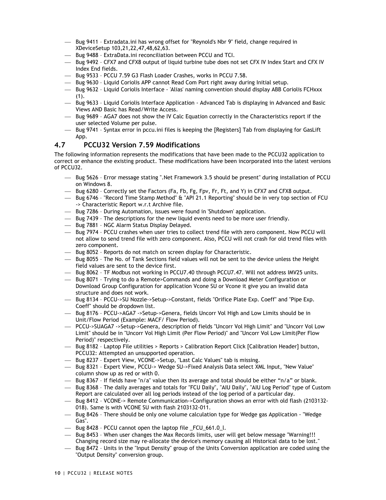- Bug 9411 Extradata.ini has wrong offset for "Reynold's Nbr 9" field, change required in XDeviceSetup 103,21,22,47,48,62,63.
- Bug 9488 ExtraData.ini reconciliation between PCCU and TCI.
- $-$  Bug 9492 CFX7 and CFX8 output of liquid turbine tube does not set CFX IV Index Start and CFX IV Index End fields.
- $-$  Bug 9533 PCCU 7.59 G3 Flash Loader Crashes, works in PCCU 7.58.
- $-$  Bug 9630 Liquid Coriolis APP cannot Read Com Port right away during Initial setup.
- Bug 9632 Liquid Coriolis Interface 'Alias' naming convention should display ABB Coriolis FCHxxx  $(1).$
- $-$  Bug 9633 Liquid Coriolis Interface Application Advanced Tab is displaying in Advanced and Basic Views AND Basic has Read/Write Access.
- Bug 9689 AGA7 does not show the IV Calc Equation correctly in the Characteristics report if the user selected Volume per pulse.
- $-$  Bug 9741 Syntax error in pccu.ini files is keeping the [Registers] Tab from displaying for GasLift App.

## **4.7 PCCU32 Version 7.59 Modifications**

- $-$  Bug 5626 Error message stating ".Net Framework 3.5 should be present" during installation of PCCU on Windows 8.
- Bug 6280 Correctly set the Factors (Fa, Fb, Fg, Fpv, Fr, Ft, and Y) in CFX7 and CFX8 output.
- $-$  Bug 6746 "Record Time Stamp Method" & "API 21.1 Reporting" should be in very top section of FCU -> Characteristic Report w.r.t Archive file.
- $-$  Bug 7286 During Automation, issues were found in 'Shutdown' application.
- Bug 7439 The descriptions for the new liquid events need to be more user friendly.
- Bug 7881 NGC Alarm Status Display Delayed.
- $-$  Bug 7974 PCCU crashes when user tries to collect trend file with zero component. Now PCCU will not allow to send trend file with zero component. Also, PCCU will not crash for old trend files with zero component.
- $-$  Bug 8052 Reports do not match on screen display for Characteristic.
- $-$  Bug 8055 The No. of Tank Sections field values will not be sent to the device unless the Height field values are sent to the device first.
- $-$  Bug 8062 TF Modbus not working in PCCU7.40 through PCCU7.47. Will not address IMV25 units.
- Bug 8071 Trying to do a Remote>Commands and doing a Download Meter Configuration or Download Group Configuration for application Vcone SU or Vcone it give you an invalid data structure and does not work.
- Bug 8134 PCCU->SU Nozzle->Setup->Constant, fields "Orifice Plate Exp. Coeff" and "Pipe Exp. Coeff" should be dropdown list.
- Bug 8176 PCCU->AGA7 ->Setup->Genera, fields Uncorr Vol High and Low Limits should be in Unit/Flow Period (Example: MACF/ Flow Period).
- PCCU->SUAGA7 ->Setup->Genera, description of fields "Uncorr Vol High Limit" and "Uncorr Vol Low Limit" should be in "Uncorr Vol High Limit (Per Flow Period)" and "Uncorr Vol Low Limit(Per Flow Period)" respectively.
- Bug 8182 Laptop File utilities > Reports > Calibration Report Click [Calibration Header] button, PCCU32: Attempted an unsupported operation.
- $-$  Bug 8237 Expert View, VCONE->Setup, "Last Calc Values" tab is missing.
- Bug 8321 Expert View, PCCU-> Wedge SU->Fixed Analysis Data select XML Input, "New Value" column show up as red or with 0.
- $-$  Bug 8367 If fields have "n/a" value then its average and total should be either "n/a" or blank.
- $-$  Bug 8368 The daily averages and totals for "FCU Daily", "AIU Daily", "AIU Log Period" type of Custom Report are calculated over all log periods instead of the log period of a particular day.
- Bug 8412 VCONE-> Remote Communication->Configuration shows an error with old flash (2103132- 018). Same is with VCONE SU with flash 2103132-011.
- Bug 8426 There should be only one volume calculation type for Wedge gas Application "Wedge Gas".
- Bug 8428 PCCU cannot open the laptop file \_FCU\_661.0\_l.
- Bug 8453 When user changes the Max Records limits, user will get below message "Warning!!! Changing record size may re-allocate the device's memory causing all Historical data to be lost."
- Bug 8472 Units in the "Input Density" group of the Units Conversion application are coded using the "Output Density" conversion group.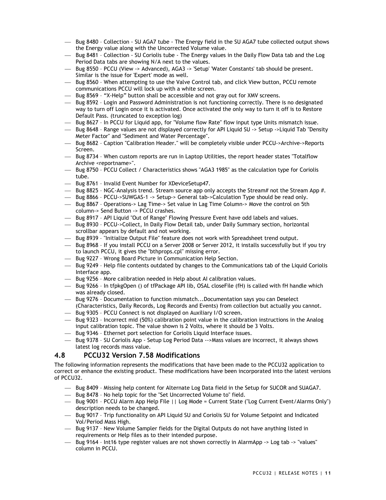- Bug 8480 Collection SU AGA7 tube The Energy field in the SU AGA7 tube collected output shows the Energy value along with the Uncorrected Volume value.
- Bug 8481 Collection SU Coriolis tube The Energy values in the Daily Flow Data tab and the Log Period Data tabs are showing N/A next to the values.
- Bug 8550 PCCU (View -> Advanced), AGA3 -> 'Setup' 'Water Constants' tab should be present. Similar is the issue for 'Expert' mode as well.
- Bug 8560 When attempting to use the Valve Control tab, and click View button, PCCU remote communications PCCU will lock up with a white screen.
- Bug 8569 "X-Help" button shall be accessible and not gray out for XMV screens.
- $-$  Bug 8592 Login and Password Administration is not functioning correctly. There is no designated way to turn off Login once it is activated. Once activated the only way to turn it off is to Restore Default Pass. (truncated to exception log)
- Bug 8627 In PCCU for Liquid app, for "Volume flow Rate" flow input type Units mismatch issue.
- Bug 8648 Range values are not displayed correctly for API Liquid SU -> Setup ->Liquid Tab "Density Meter Factor" and "Sediment and Water Percentage".
- Bug 8682 Caption "Calibration Header." will be completely visible under PCCU->Archive->Reports Screen.
- Bug 8734 When custom reports are run in Laptop Utilities, the report header states "Totalflow Archive <reportname>".
- Bug 8750 PCCU Collect / Characteristics shows "AGA3 1985" as the calculation type for Coriolis tube.
- $-$  Bug 8761 Invalid Event Number for XDeviceSetup47.
- $-$  Bug 8825 NGC-Analysis trend. Stream source app only accepts the Stream# not the Stream App  $\#$ .
- Bug 8866 PCCU->SUWGAS-1 -> Setup-> General tab->Calculation Type should be read only.
- Bug 8867 Operations-> Lag Time-> Set value in Lag Time Column-> Move the control on 5th column-> Send Button -> PCCU crashes.
- $-$  Bug 8917 API Liquid "Out of Range" Flowing Pressure Event have odd labels and values.
- $-$  Bug 8930 PCCU->Collect, In Daily Flow Detail tab, under Daily Summary section, horizontal scrollbar appears by default and not working.
- $-$  Bug 8939 "Initialize Output File" feature does not work with Spreadsheet trend output.
- Bug 8968 If you install PCCU on a Server 2008 or Server 2012, it installs successfully but if you try to launch PCCU, it gives the "bthprops.cpl" missing error.
- Bug 9227 Wrong Board Picture in Communication Help Section.
- $-$  Bug 9249 Help file contents outdated by changes to the Communications tab of the Liquid Coriolis Interface app.
- Bug 9256 More calibration needed in Help about AI calibration values.
- Bug 9266 In tfpkgOpen () of tfPackage API lib, OSAL closeFile (fH) is called with fH handle which was already closed.
- Bug 9276 Documentation to function mismatch...Documentation says you can Deselect (Characteristics, Daily Records, Log Records and Events) from collection but actually you cannot.
- Bug 9305 PCCU Connect is not displayed on Auxiliary I/O screen.
- $-$  Bug 9323 Incorrect mid (50%) calibration point value in the calibration instructions in the Analog input calibration topic. The value shown is 2 Volts, where it should be 3 Volts.
- $-$  Bug 9346 Ethernet port selection for Coriolis Liquid Interface issues.
- $-$  Bug 9378 SU Coriolis App Setup Log Period Data -->Mass values are incorrect, it always shows latest log records mass value.

#### **4.8 PCCU32 Version 7.58 Modifications**

- Bug 8409 Missing help content for Alternate Log Data field in the Setup for SUCOR and SUAGA7.
- $-$  Bug 8478 No help topic for the "Set Uncorrected Volume to" field.
- Bug 9001 PCCU Alarm App Help File || Log Mode = Current State ("Log Current Event/Alarms Only") description needs to be changed.
- Bug 9017 Trip functionality on API Liquid SU and Coriolis SU for Volume Setpoint and Indicated Vol/Period Mass High.
- Bug 9137 New Volume Sampler fields for the Digital Outputs do not have anything listed in requirements or Help files as to their intended purpose.
- Bug 9164 Int16 type register values are not shown correctly in AlarmApp -> Log tab -> "values" column in PCCU.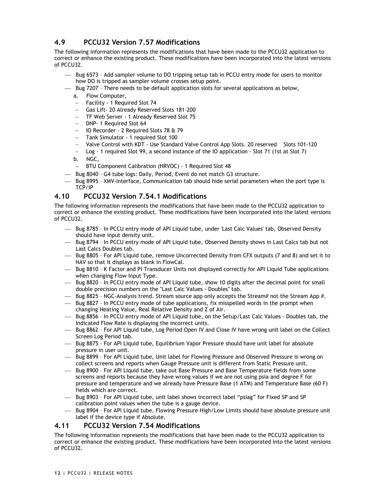## **4.9 PCCU32 Version 7.57 Modifications**

The following information represents the modifications that have been made to the PCCU32 application to correct or enhance the existing product. These modifications have been incorporated into the latest versions of PCCU32.

- $-$  Bug 6573 Add sampler volume to DO tripping setup tab in PCCU entry mode for users to monitor how DO is tripped as sampler volume crosses setup point.
- Bug 7207 There needs to be default application slots for several applications as below,
	- a. Flow Computer,
	- Facility 1 Required Slot 74
	- Gas Lift- 20 Already Reserved Slots 181-200
	- TF Web Server 1 Already Reserved Slot 75
	- DNP- 1 Required Slot 64
	- IO Recorder 2 Required Slots 78 & 79
	- Tank Simulator 1 required Slot 100
	- Valve Control with KDT Use Standard Valve Control App Slots. 20 reserved Slots 101-120
	- Log 1 required Slot 99, a second instance of the IO application Slot 71 (1st at Slot 7)
	- b. NGC,
	- BTU Component Calibration (HRVOC) 1 Required Slot 48
- Bug 8040 G4 tube logs: Daily, Period, Event do not match G3 structure.
- $-$  Bug 8995 XMV-Interface, Communication tab should hide serial parameters when the port type is TCP/IP

## **4.10 PCCU32 Version 7.54.1 Modifications**

The following information represents the modifications that have been made to the PCCU32 application to correct or enhance the existing product. These modifications have been incorporated into the latest versions of PCCU32.

- Bug 8785 In PCCU entry mode of API Liquid tube, under 'Last Calc Values' tab, Observed Density should have input density unit.
- $-$  Bug 8794 In PCCU entry mode of API Liquid tube, Observed Density shows in Last Calcs tab but not Last Calcs Doubles tab.
- $-$  Bug 8805 For API Liquid tube, remove Uncorrected Density from CFX outputs (7 and 8) and set it to NAV so that it displays as blank in FlowCal.
- $-$  Bug 8810 K Factor and PI Transducer Units not displayed correctly for API Liquid Tube applications when changing Flow Input Type.
- $-$  Bug 8820 In PCCU entry mode of API Liquid tube, show 10 digits after the decimal point for small double precision numbers on the "Last Calc Values - Doubles" tab.
- Bug 8825 NGC-Analysis trend. Stream source app only accepts the Stream# not the Stream App #.
- $-$  Bug 8827 In PCCU entry mode of tube applications, fix misspelled words in the prompt when changing Heating Value, Real Relative Density and Z of Air.
- Bug 8856 In PCCU entry mode of API Liquid tube, on the Setup/Last Calc Values Doubles tab, the Indicated Flow Rate is displaying the incorrect units.
- Bug 8862 For API Liquid tube, Log Period Open IV and Close IV have wrong unit label on the Collect Screen Log Period tab.
- $-$  Bug 8875 For API Liquid tube, Equilibrium Vapor Pressure should have unit label for absolute pressure in user unit.
- Bug 8899 For API Liquid tube, Unit label for Flowing Pressure and Observed Pressure is wrong on collect screens and reports when Gauge Pressure unit is different from Static Pressure unit.
- Bug 8900 For API Liquid tube, take out Base Pressure and Base Temperature fields from some screens and reports because they have wrong values if we are not using psia and degree F for pressure and temperature and we already have Pressure Base (1 ATM) and Temperature Base (60 F) fields which are correct.
- Bug 8903 For API Liquid tube, unit label shows incorrect label "psiag" for Fixed SP and SP calibration point values when the tube is a gauge device.
- Bug 8904 For API Liquid tube, Flowing Pressure High/Low Limits should have absolute pressure unit label if the device type if Absolute.

## **4.11 PCCU32 Version 7.54 Modifications**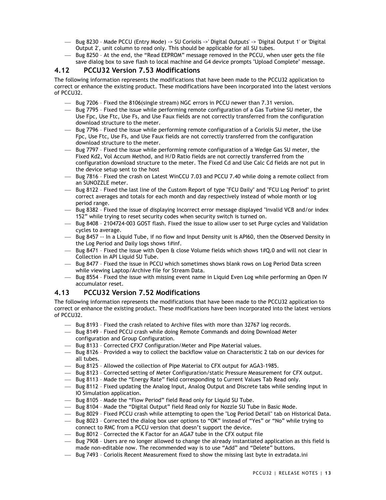- Bug 8230 Made PCCU (Entry Mode) -> SU Coriolis ->' Digital Outputs' -> 'Digital Output 1' or 'Digital Output 2', unit column to read only. This should be applicable for all SU tubes.
- $-$  Bug 8250 At the end, the "Read EEPROM" message removed in the PCCU, when user gets the file save dialog box to save flash to local machine and G4 device prompts "Upload Complete" message.

## **4.12 PCCU32 Version 7.53 Modifications**

The following information represents the modifications that have been made to the PCCU32 application to correct or enhance the existing product. These modifications have been incorporated into the latest versions of PCCU32.

- Bug 7206 Fixed the 8106(single stream) NGC errors in PCCU newer than 7.31 version.
- $-$  Bug 7795 Fixed the issue while performing remote configuration of a Gas Turbine SU meter, the Use Fpc, Use Ftc, Use Fs, and Use Faux fields are not correctly transferred from the configuration download structure to the meter.
- $-$  Bug 7796 Fixed the issue while performing remote configuration of a Coriolis SU meter, the Use Fpc, Use Ftc, Use Fs, and Use Faux fields are not correctly transferred from the configuration download structure to the meter.
- Bug 7797 Fixed the issue while performing remote configuration of a Wedge Gas SU meter, the Fixed Kd2, Vol Accum Method, and H/D Ratio fields are not correctly transferred from the configuration download structure to the meter. The Fixed Cd and Use Calc Cd fields are not put in the device setup sent to the host
- $-$  Bug 7816 Fixed the crash on Latest WinCCU 7.03 and PCCU 7.40 while doing a remote collect from an SUNOZZLE meter.
- Bug 8122 Fixed the last line of the Custom Report of type "FCU Daily" and "FCU Log Period" to print correct averages and totals for each month and day respectively instead of whole month or log period range.
- Bug 8382 Fixed the issue of displaying Incorrect error message displayed "Invalid VCB and/or index 152" while trying to reset security codes when security switch is turned on.
- Bug 8408 2104724-003 GOST flash. Fixed the issue to allow user to set Purge cycles and Validation cycles to average.
- Bug 8457 -- In a Liquid Tube, if no flow and Input Density unit is API60, then the Observed Density in the Log Period and Daily logs shows 1#inf.
- $-$  Bug 8471 Fixed the issue with Open & close Volume fields which shows 1#Q.0 and will not clear in Collection in API Liquid SU Tube.
- $-$  Bug 8477 Fixed the issue in PCCU which sometimes shows blank rows on Log Period Data screen while viewing Laptop/Archive file for Stream Data.
- $-$  Bug 8554 Fixed the issue with missing event name in Liquid Even Log while performing an Open IV accumulator reset.

## **4.13 PCCU32 Version 7.52 Modifications**

- Bug 8193 Fixed the crash related to Archive files with more than 32767 log records.
- Bug 8149 Fixed PCCU crash while doing Remote Commands and doing Download Meter configuration and Group Configuration.
- Bug 8133 Corrected CFX7 Configuration/Meter and Pipe Material values.
- $-$  Bug 8126 Provided a way to collect the backflow value on Characteristic 2 tab on our devices for all tubes.
- Bug 8125 Allowed the collection of Pipe Material to CFX output for AGA3-1985.
- $-$  Bug 8123 Corrected setting of Meter Configuration/static Pressure Measurement for CFX output.
- $-$  Bug 8113 Made the "Energy Rate" field corresponding to Current Values Tab Read only.
- Bug 8112 Fixed updating the Analog Input, Analog Output and Discrete tabs while sending input in IO Simulation application.
- Bug 8105 Made the "Flow Period" field Read only for Liquid SU Tube.
- Bug 8104 Made the "Digital Output" field Read only for Nozzle SU Tube in Basic Mode.
- $-$  Bug 8029 Fixed PCCU crash while attempting to open the "Log Period Detail" tab on Historical Data.
- Bug 8023 Corrected the dialog box user options to "OK" instead of "Yes" or "No" while trying to connect to RMC from a PCCU version that doesn't support the device.
- $-$  Bug 8012 Corrected the K Factor for an AGA7 tube in the CFX output file
- $-$  Bug 7908 Users are no longer allowed to change the already instantiated application as this field is made non-editable now. The recommended way is to use "Add" and "Delete" buttons.
- Bug 7493 Coriolis Recent Measurement fixed to show the missing last byte in extradata.ini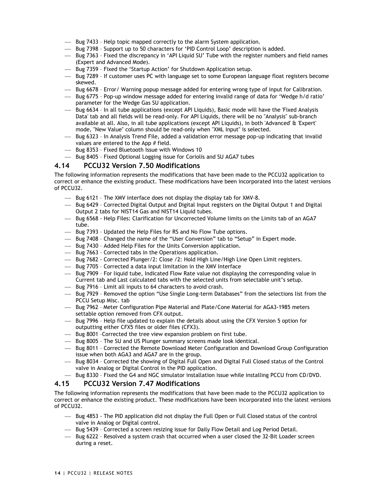- Bug 7433 Help topic mapped correctly to the alarm System application.
- Bug 7398 Support up to 50 characters for 'PID Control Loop' description is added.
- Bug 7363 Fixed the discrepancy in 'API Liquid SU' Tube with the register numbers and field names (Expert and Advanced Mode).
- Bug 7359 Fixed the 'Startup Action' for Shutdown Application setup.
- $-$  Bug 7289 If customer uses PC with language set to some European language float registers become skewed.
- $-$  Bug 6678 Error/ Warning popup message added for entering wrong type of input for Calibration.
- $-$  Bug 6775 Pop-up window message added for entering invalid range of data for 'Wedge h/d ratio' parameter for the Wedge Gas SU application.
- $-$  Bug 6634 In all tube applications (except API Liquids), Basic mode will have the 'Fixed Analysis Data' tab and all fields will be read-only. For API Liquids, there will be no "Analysis" sub-branch available at all. Also, in all tube applications (except API Liquids), in both 'Advanced' & 'Expert' mode, "New Value" column should be read-only when "XML Input" is selected.
- $-$  Bug 6323 In Analysis Trend File, added a validation error message pop-up indicating that invalid values are entered to the App # field.
- $-$  Bug 8353 Fixed Bluetooth Issue with Windows 10
- Bug 8405 Fixed Optional Logging issue for Coriolis and SU AGA7 tubes

#### **4.14 PCCU32 Version 7.50 Modifications**

The following information represents the modifications that have been made to the PCCU32 application to correct or enhance the existing product. These modifications have been incorporated into the latest versions of PCCU32.

- $-$  Bug 6121 The XMV interface does not display the display tab for XMV-8.
- Bug 6429 Corrected Digital Output and Digital Input registers on the Digital Output 1 and Digital Output 2 tabs for NIST14 Gas and NIST14 Liquid tubes.
- Bug 6568 Help Files: Clarification for Uncorrected Volume limits on the Limits tab of an AGA7 tube.
- $-$  Bug 7393 Updated the Help Files for RS and No Flow Tube options.
- Bug 7408 Changed the name of the "User Conversion" tab to "Setup" in Expert mode.
- $-$  Bug 7430 Added Help Files for the Units Conversion application.
- $-$  Bug 7663 Corrected tabs in the Operations application.
- $-$  Bug 7682 Corrected Plunger/2: Close /2: Hold High Line/High Line Open Limit registers.
- Bug 7705 Corrected a data input limitation in the XMV Interface
- Bug 7909 For liquid tube, Indicated Flow Rate value not displaying the corresponding value in Current tab and Last calculated tabs with the selected units from selectable unit's setup.
- Bug 7916 Limit all inputs to 64 characters to avoid crash.
- $-$  Bug 7929 Removed the option "Use Single Long-term Databases" from the selections list from the PCCU Setup Misc. tab
- Bug 7962 Meter Configuration Pipe Material and Plate/Cone Material for AGA3-1985 meters settable option removed from CFX output.
- $-$  Bug 7996 Help file updated to explain the details about using the CFX Version 5 option for outputting either CFX5 files or older files (CFX3).
- $-$  Bug 8001 -Corrected the tree view expansion problem on first tube.
- $-$  Bug 8005 The SU and US Plunger summary screens made look identical.
- Bug 8011 Corrected the Remote Download Meter Configuration and Download Group Configuration issue when both AGA3 and AGA7 are in the group.
- $-$  Bug 8034 Corrected the showing of Digital Full Open and Digital Full Closed status of the Control valve in Analog or Digital Control in the PID application.
- Bug 8330 Fixed the G4 and NGC simulator installation issue while installing PCCU from CD/DVD.

#### **4.15 PCCU32 Version 7.47 Modifications**

- $-$  Bug 4853 The PID application did not display the Full Open or Full Closed status of the control valve in Analog or Digital control.
- Bug 5439 Corrected a screen resizing issue for Daily Flow Detail and Log Period Detail.
- $-$  Bug 6222 Resolved a system crash that occurred when a user closed the 32-Bit Loader screen during a reset.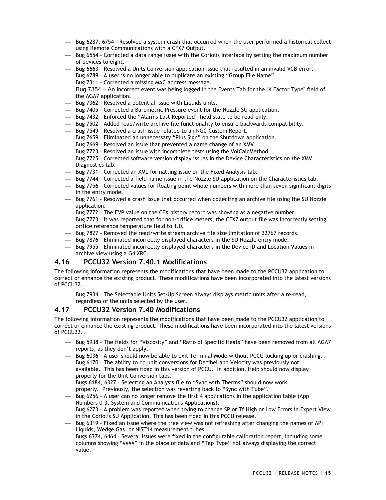- Bug 6287, 6754 Resolved a system crash that occurred when the user performed a historical collect using Remote Communications with a CFX7 Output.
- $-$  Bug 6554 Corrected a data range issue with the Coriolis Interface by setting the maximum number of devices to eight.
- $-$  Bug 6663 Resolved a Units Conversion application issue that resulted in an invalid VCB error.
- $-$  Bug 6789 A user is no longer able to duplicate an existing "Group File Name".
- Bug 7311 Corrected a missing MAC address message.
- Bug 7354 An incorrect event was being logged in the Events Tab for the "K Factor Type" field of the AGA7 application.
- Bug 7362 Resolved a potential issue with Liquids units.
- $-$  Bug 7405 Corrected a Barometric Pressure event for the Nozzle SU application.
- $-$  Bug 7432 Enforced the "Alarms Last Reported" field state to be read-only.
- Bug 7502 Added read/write archive file functionality to ensure backwards compatibility.
- $-$  Bug 7549 Resolved a crash issue related to an NGC Custom Report.
- Bug 7659 Eliminated an unnecessary "Plus Sign" on the Shutdown application.
- Bug 7669 Resolved an issue that prevented a name change of an XMV.
- Bug 7723 Resolved an issue with incomplete tests using the VolCalcMethod.
- Bug 7725 Corrected software version display issues in the Device Characteristics on the XMV Diagnostics tab.
- Bug 7731 Corrected an XML formatting issue on the Fixed Analysis tab.
- Bug 7744 Corrected a field name issue in the Nozzle SU application on the Characteristics tab.
- $-$  Bug 7756 Corrected values for floating point whole numbers with more than seven significant digits in the entry mode.
- $-$  Bug 7761 Resolved a crash issue that occurred when collecting an archive file using the SU Nozzle application.
- $-$  Bug 7772 The EVP value on the CFX history record was showing as a negative number.
- $-$  Bug 7773 It was reported that for non-orifice meters, the CFX7 output file was incorrectly setting orifice reference temperature field to 1.0.
- $-$  Bug 7827 Removed the read/write stream archive file size limitation of 32767 records.
- Bug 7876 Eliminated incorrectly displayed characters in the SU Nozzle entry mode.
- Bug 7955 Eliminated incorrectly displayed characters in the Device ID and Location Values in archive view using a G4 XRC.

## **4.16 PCCU32 Version 7.40.1 Modifications**

The following information represents the modifications that have been made to the PCCU32 application to correct or enhance the existing product. These modifications have been incorporated into the latest versions of PCCU32.

 Bug 7934 – The Selectable Units Set-Up Screen always displays metric units after a re-read, regardless of the units selected by the user.

#### **4.17 PCCU32 Version 7.40 Modifications**

- $-$  Bug 5938 The fields for "Viscosity" and "Ratio of Specific Heats" have been removed from all AGA7 reports, as they don't apply.
- Bug 6036 A user should now be able to exit Terminal Mode without PCCU locking up or crashing.
- Bug 6170 The ability to do unit conversions for Decibel and Velocity was previously not available. This has been fixed in this version of PCCU. In addition, Help should now display properly for the Unit Conversion tabs.
- Bugs 6184, 6327 Selecting an Analysis file to "Sync with Therms" should now work properly. Previously, the selection was reverting back to "Sync with Tube".
- Bug 6256 A user can no longer remove the first 4 applications in the application table (App Numbers 0-3, System and Communications Applications).
- $-$  Bug 6273 A problem was reported when trying to change SP or Tf High or Low Errors in Expert View in the Coriolis SU Application. This has been fixed in this PCCU release.
- Bug 6319 Fixed an issue where the tree view was not refreshing after changing the names of API Liquids, Wedge Gas, or NIST14 measurement tubes.
- Bugs 6374, 6464 Several issues were fixed in the configurable calibration report, including some columns showing "####" in the place of data and "Tap Type" not always displaying the correct value.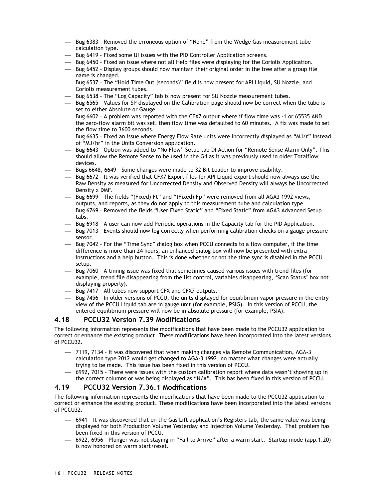- Bug 6383 Removed the erroneous option of "None" from the Wedge Gas measurement tube calculation type.
- Bug 6419 Fixed some UI issues with the PID Controller Application screens.
- $-$  Bug 6450 Fixed an issue where not all Help files were displaying for the Coriolis Application.
- $-$  Bug 6452 Display groups should now maintain their original order in the tree after a group file name is changed.
- $-$  Bug 6537 The "Hold Time Out (seconds)" field is now present for API Liquid, SU Nozzle, and Coriolis measurement tubes.
- Bug 6538 The "Log Capacity" tab is now present for SU Nozzle measurement tubes.
- $-$  Bug 6565 Values for SP displayed on the Calibration page should now be correct when the tube is set to either Absolute or Gauge.
- $-$  Bug 6602 A problem was reported with the CFX7 output where if flow time was -1 or 65535 AND the zero-flow alarm bit was set, then flow time was defaulted to 60 minutes. A fix was made to set the flow time to 3600 seconds.
- $-$  Bug 6635 Fixed an issue where Energy Flow Rate units were incorrectly displayed as "MJ/r" instead of "MJ/hr" in the Units Conversion application.
- Bug 6643 Option was added to "No Flow" Setup tab DI Action for "Remote Sense Alarm Only". This should allow the Remote Sense to be used in the G4 as it was previously used in older Totalflow devices.
- Bugs 6648, 6649 Some changes were made to 32 Bit Loader to improve usability.
- $-$  Bug 6672 It was verified that CFX7 Export files for API Liquid export should now always use the Raw Density as measured for Uncorrected Density and Observed Density will always be Uncorrected Density x DMF.
- Bug 6699 The fields "(Fixed) Ft" and "(Fixed) Fp" were removed from all AGA3 1992 views, outputs, and reports, as they do not apply to this measurement tube and calculation type.
- $-$  Bug 6769 Removed the fields "User Fixed Static" and "Fixed Static" from AGA3 Advanced Setup tabs.
- Bug 6918 A user can now add Periodic operations in the Capacity tab for the PID Application.
- $-$  Bug 7013 Events should now log correctly when performing calibration checks on a gauge pressure sensor.
- Bug 7042 For the "Time Sync" dialog box when PCCU connects to a flow computer, if the time difference is more than 24 hours, an enhanced dialog box will now be presented with extra instructions and a help button. This is done whether or not the time sync is disabled in the PCCU setup.
- $-$  Bug 7060 A timing issue was fixed that sometimes-caused various issues with trend files (for example, trend file disappearing from the list control, variables disappearing, 'Scan Status' box not displaying properly).
- Bug 7417 All tubes now support CFX and CFX7 outputs.
- $-$  Bug 7456 In older versions of PCCU, the units displayed for equilibrium vapor pressure in the entry view of the PCCU Liquid tab are in gauge unit (for example, PSIG). In this version of PCCU, the entered equilibrium pressure will now be in absolute pressure (for example, PSIA).

## **4.18 PCCU32 Version 7.39 Modifications**

The following information represents the modifications that have been made to the PCCU32 application to correct or enhance the existing product. These modifications have been incorporated into the latest versions of PCCU32.

- 7119, 7134 It was discovered that when making changes via Remote Communication, AGA-3 calculation type 2012 would get changed to AGA-3 1992, no matter what changes were actually trying to be made. This issue has been fixed in this version of PCCU.
- 6992, 7015 There were issues with the custom calibration report where data wasn't showing up in the correct columns or was being displayed as "N/A". This has been fixed in this version of PCCU.

## **4.19 PCCU32 Version 7.36.1 Modifications**

- 6941 It was discovered that on the Gas Lift application's Registers tab, the same value was being displayed for both Production Volume Yesterday and Injection Volume Yesterday. That problem has been fixed in this version of PCCU.
- 6922, 6956 Plunger was not staying in "Fail to Arrive" after a warm start. Startup mode (app.1.20) is now honored on warm start/reset.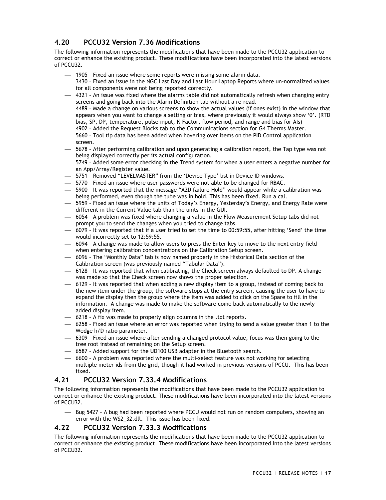# **4.20 PCCU32 Version 7.36 Modifications**

The following information represents the modifications that have been made to the PCCU32 application to correct or enhance the existing product. These modifications have been incorporated into the latest versions of PCCU32.

- 1905 Fixed an issue where some reports were missing some alarm data.
- 3430 Fixed an issue in the NGC Last Day and Last Hour Laptop Reports where un-normalized values for all components were not being reported correctly.
- 4321 An issue was fixed where the alarms table did not automatically refresh when changing entry screens and going back into the Alarm Definition tab without a re-read.
- 4489 Made a change on various screens to show the actual values (if ones exist) in the window that appears when you want to change a setting or bias, where previously it would always show '0'. (RTD bias, SP, DP, temperature, pulse input, K-Factor, flow period, and range and bias for AIs)
- $-4902$  Added the Request Blocks tab to the Communications section for G4 Therms Master.
- $-$  5660 Tool tip data has been added when hovering over items on the PID Control application screen.
- $-$  5678 After performing calibration and upon generating a calibration report, the Tap type was not being displayed correctly per its actual configuration.
- 5749 Added some error checking in the Trend system for when a user enters a negative number for an App/Array/Register value.
- 5751 Removed "LEVELMASTER" from the 'Device Type' list in Device ID windows.
- 5770 Fixed an issue where user passwords were not able to be changed for RBAC.
- 5900 It was reported that the message "A2D failure Hold" would appear while a calibration was being performed, even though the tube was in hold. This has been fixed. Run a cal.
- 5959 Fixed an issue where the units of Today's Energy, Yesterday's Energy, and Energy Rate were different in the Current Value tab than the units in the GUI.
- 6054 A problem was fixed where changing a value in the Flow Measurement Setup tabs did not prompt you to send the changes when you tried to change tabs.
- 6079 It was reported that if a user tried to set the time to 00:59:55, after hitting 'Send' the time would incorrectly set to 12:59:55.
- 6094 A change was made to allow users to press the Enter key to move to the next entry field when entering calibration concentrations on the Calibration Setup screen.
- $-$  6096 The "Monthly Data" tab is now named properly in the Historical Data section of the Calibration screen (was previously named "Tabular Data").
- $-$  6128 It was reported that when calibrating, the Check screen always defaulted to DP. A change was made so that the Check screen now shows the proper selection.
- $-6129$  It was reported that when adding a new display item to a group, instead of coming back to the new item under the group, the software stops at the entry screen, causing the user to have to expand the display then the group where the item was added to click on the Spare to fill in the information. A change was made to make the software come back automatically to the newly added display item.
- 6218 A fix was made to properly align columns in the .txt reports.
- $-6258$  Fixed an issue where an error was reported when trying to send a value greater than 1 to the Wedge h/D ratio parameter.
- 6309 Fixed an issue where after sending a changed protocol value, focus was then going to the tree root instead of remaining on the Setup screen.
- 6587 Added support for the UD100 USB adapter in the Bluetooth search.
- 6600 A problem was reported where the multi-select feature was not working for selecting multiple meter ids from the grid, though it had worked in previous versions of PCCU. This has been fixed.

## **4.21 PCCU32 Version 7.33.4 Modifications**

The following information represents the modifications that have been made to the PCCU32 application to correct or enhance the existing product. These modifications have been incorporated into the latest versions of PCCU32.

 Bug 5427 – A bug had been reported where PCCU would not run on random computers, showing an error with the WS2\_32.dll. This issue has been fixed.

## **4.22 PCCU32 Version 7.33.3 Modifications**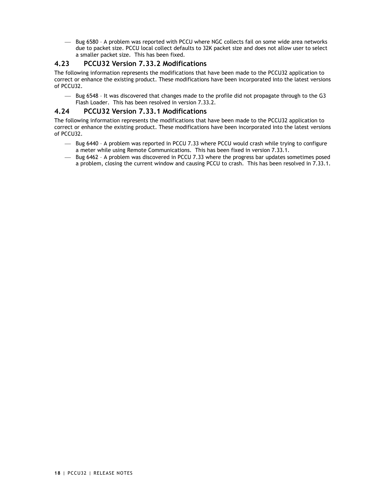Bug 6580 – A problem was reported with PCCU where NGC collects fail on some wide area networks due to packet size. PCCU local collect defaults to 32K packet size and does not allow user to select a smaller packet size. This has been fixed.

## **4.23 PCCU32 Version 7.33.2 Modifications**

The following information represents the modifications that have been made to the PCCU32 application to correct or enhance the existing product. These modifications have been incorporated into the latest versions of PCCU32.

 $-$  Bug 6548 - It was discovered that changes made to the profile did not propagate through to the G3 Flash Loader. This has been resolved in version 7.33.2.

## **4.24 PCCU32 Version 7.33.1 Modifications**

- $-$  Bug 6440 A problem was reported in PCCU 7.33 where PCCU would crash while trying to configure a meter while using Remote Communications. This has been fixed in version 7.33.1.
- $-$  Bug 6462 A problem was discovered in PCCU 7.33 where the progress bar updates sometimes posed a problem, closing the current window and causing PCCU to crash. This has been resolved in 7.33.1.